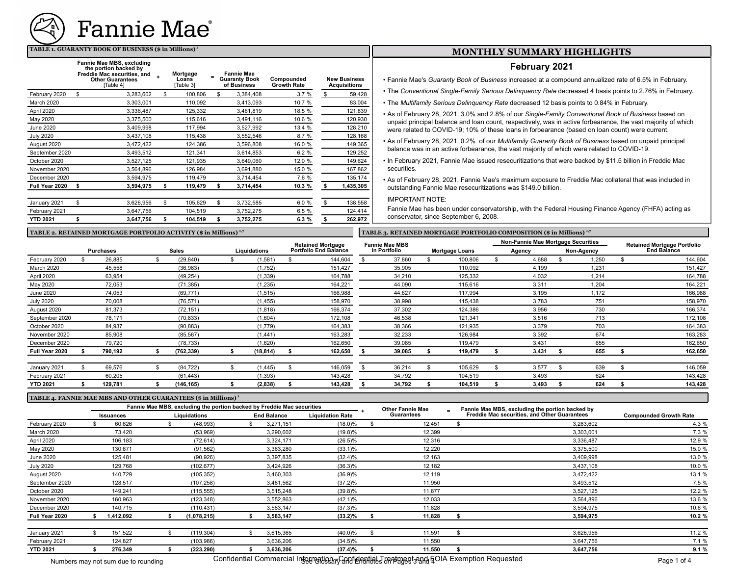

#### **TABLE 1. GUARANTY BOOK OF BUSINESS (\$ in Millions)<sup>1</sup>**

|                   | Fannie Mae MBS, excluding<br>the portion backed by<br>Freddie Mac securities, and<br><b>Other Guarantees</b><br>[Table 4] | Mortgage<br>Loans<br>[Table 3] | <b>Fannie Mae</b><br><b>Guaranty Book</b><br>of Business | Compounded<br><b>Growth Rate</b> | <b>New Business</b><br><b>Acquisitions</b> |
|-------------------|---------------------------------------------------------------------------------------------------------------------------|--------------------------------|----------------------------------------------------------|----------------------------------|--------------------------------------------|
| February 2020     | \$<br>3.283.602                                                                                                           | \$<br>100.806                  | \$<br>3,384,408                                          | 3.7%                             | \$<br>59,428                               |
| <b>March 2020</b> | 3,303,001                                                                                                                 | 110,092                        | 3,413,093                                                | 10.7 %                           | 83,004                                     |
| April 2020        | 3,336,487                                                                                                                 | 125,332                        | 3,461,819                                                | 18.5 %                           | 121,839                                    |
| May 2020          | 3.375.500                                                                                                                 | 115.616                        | 3,491,116                                                | 10.6 %                           | 120,930                                    |
| June 2020         | 3,409,998                                                                                                                 | 117,994                        | 3,527,992                                                | 13.4 %                           | 128,210                                    |
| <b>July 2020</b>  | 3,437,108                                                                                                                 | 115,438                        | 3,552,546                                                | 8.7%                             | 128,168                                    |
| August 2020       | 3,472,422                                                                                                                 | 124,386                        | 3,596,808                                                | 16.0 %                           | 149,365                                    |
| September 2020    | 3,493,512                                                                                                                 | 121,341                        | 3,614,853                                                | 6.2%                             | 129,252                                    |
| October 2020      | 3,527,125                                                                                                                 | 121,935                        | 3,649,060                                                | 12.0 %                           | 149,624                                    |
| November 2020     | 3,564,896                                                                                                                 | 126,984                        | 3,691,880                                                | 15.0 %                           | 167,862                                    |
| December 2020     | 3,594,975                                                                                                                 | 119,479                        | 3,714,454                                                | 7.6 %                            | 135,174                                    |
| Full Year 2020    | \$<br>3,594,975                                                                                                           | \$<br>119,479                  | \$<br>3,714,454                                          | 10.3 %                           | \$<br>1,435,305                            |
| January 2021      | \$<br>3,626,956                                                                                                           | \$<br>105,629                  | \$<br>3,732,585                                          | 6.0%                             | \$<br>138,558                              |
| February 2021     | 3,647,756                                                                                                                 | 104.519                        | 3,752,275                                                | 6.5%                             | 124,414                                    |
| <b>YTD 2021</b>   | \$<br>3,647,756                                                                                                           | \$<br>104,519                  | \$<br>3,752,275                                          | 6.3%                             | \$<br>262,972                              |

## **MONTHLY SUMMARY HIGHLIGHTS**

### **February 2021**

• Fannie Mae's *Guaranty Book of Business* increased at a compound annualized rate of 6.5% in February.

- The *Conventional Single-Family Serious Delinquency Rate* decreased 4 basis points to 2.76% in February.
- The *Multifamily Serious Delinquency Rate* decreased 12 basis points to 0.84% in February.
- As of February 28, 2021, 3.0% and 2.8% of our *Single-Family Conventional Book of Business* based on unpaid principal balance and loan count, respectively, was in active forbearance, the vast majority of which were related to COVID-19; 10% of these loans in forbearance (based on loan count) were current.
- As of February 28, 2021, 0.2% of our *Multifamily Guaranty Book of Business* based on unpaid principal balance was in an active forbearance, the vast majority of which were related to COVID-19.
- In February 2021, Fannie Mae issued resecuritizations that were backed by \$11.5 billion in Freddie Mac securities.

• As of February 28, 2021, Fannie Mae's maximum exposure to Freddie Mac collateral that was included in outstanding Fannie Mae resecuritizations was \$149.0 billion.

IMPORTANT NOTE:

Fannie Mae has been under conservatorship, with the Federal Housing Finance Agency (FHFA) acting as conservator, since September 6, 2008.

**TABLE 2. RETAINED MORTGAGE PORTFOLIO ACTIVITY (\$ in Millions) 1,7 TABLE 3. RETAINED MORTGAGE PORTFOLIO COMPOSITION (\$ in Millions) 1,7**

|  | TABLE 3. RETAINED MORTGAGE PORTFOLIO COMPOSITION (\$ in Millions) <sup>1,</sup> |  |  |
|--|---------------------------------------------------------------------------------|--|--|
|  |                                                                                 |  |  |

|                  |                  |              |              | <b>Retained Mortgage</b>     | <b>Fannie Mae MBS</b> |                       |  | Non-Fannie Mae Mortgage Securities |            | <b>Retained Mortgage Portfolio</b> |                    |
|------------------|------------------|--------------|--------------|------------------------------|-----------------------|-----------------------|--|------------------------------------|------------|------------------------------------|--------------------|
|                  | <b>Purchases</b> | <b>Sales</b> | Liquidations | <b>Portfolio End Balance</b> | in Portfolio          | <b>Mortgage Loans</b> |  | Agency                             | Non-Agency |                                    | <b>End Balance</b> |
| February 2020    | 26,885           | (29, 840)    | (1, 581)     | 144,604                      | 37,860                | 100,806               |  | 4,688                              | 1.250      |                                    | 144,604            |
| March 2020       | 45,558           | (36,983)     | (1,752)      | 151,427                      | 35,905                | 110,092               |  | 4,199                              | 1,231      |                                    | 151,427            |
| April 2020       | 63,954           | (49, 254)    | (1, 339)     | 164,788                      | 34.210                | 125,332               |  | 4,032                              | 1.214      |                                    | 164,788            |
| May 2020         | 72,053           | (71, 385)    | (1, 235)     | 164,221                      | 44,090                | 115,616               |  | 3,311                              | 1,204      |                                    | 164,221            |
| <b>June 2020</b> | 74,053           | (69, 771)    | (1, 515)     | 166,988                      | 44,627                | 117,994               |  | 3,195                              | 1,172      |                                    | 166,988            |
| <b>July 2020</b> | 70,008           | (76, 571)    | (1, 455)     | 158,970                      | 38,998                | 115,438               |  | 3,783                              | 751        |                                    | 158,970            |
| August 2020      | 81,373           | (72, 151)    | (1, 818)     | 166,374                      | 37,302                | 124,386               |  | 3,956                              | 730        |                                    | 166,374            |
| September 2020   | 78,171           | (70, 833)    | (1,604)      | 172,108                      | 46,538                | 121,341               |  | 3,516                              | 713        |                                    | 172,108            |
| October 2020     | 84,937           | (90, 883)    | (1,779)      | 164,383                      | 38,366                | 121,935               |  | 3,379                              | 703        |                                    | 164,383            |
| November 2020    | 85,908           | (85, 567)    | (1, 441)     | 163,283                      | 32,233                | 126,984               |  | 3,392                              | 674        |                                    | 163,283            |
| December 2020    | 79,720           | (78, 733)    | (1,620)      | 162,650                      | 39,085                | 119,479               |  | 3,431                              | 655        |                                    | 162,650            |
| Full Year 2020   | 790,192          | (762,339)    | (18, 814)    | 162,650                      | 39,085                | 119,479               |  | 3,431                              | 655        |                                    | 162,650            |
| January 2021     | 69,576           | (84, 722)    | (1, 445)     | 146,059                      | 36,214                | 105,629               |  | 3,577                              | 639        |                                    | 146,059            |
| February 2021    | 60,205           | (61, 443)    | (1, 393)     | 143,428                      | 34,792                | 104,519               |  | 3,493                              | 624        |                                    | 143,428            |
| <b>YTD 2021</b>  | 129,781          | (146,165)    | (2,838)      | 143,428                      | 34,792                | 104,519               |  | 3,493                              | 624        |                                    | 143,428            |

#### **TABLE 4. FANNIE MAE MBS AND OTHER GUARANTEES (\$ in Millions) <sup>1</sup>**

|                  | Fannie Mae MBS, excluding the portion backed by Freddie Mac securities |                  |                                    |             |  |           |                         |  | Other Fannie Mae | Fannie Mae MBS, excluding the portion backed by     |                               |  |
|------------------|------------------------------------------------------------------------|------------------|------------------------------------|-------------|--|-----------|-------------------------|--|------------------|-----------------------------------------------------|-------------------------------|--|
|                  |                                                                        | <b>Issuances</b> | <b>End Balance</b><br>Liquidations |             |  |           | <b>Liquidation Rate</b> |  | Guarantees       | <b>Freddie Mac securities, and Other Guarantees</b> | <b>Compounded Growth Rate</b> |  |
| February 2020    |                                                                        | 60,626           |                                    | (48,993)    |  | 3,271,151 | $(18.0)\%$              |  | 12,451           | 3,283,602                                           | 4.3 %                         |  |
| March 2020       |                                                                        | 73,420           |                                    | (53,969)    |  | 3,290,602 | $(19.8)\%$              |  | 12,399           | 3,303,001                                           | 7.3 %                         |  |
| April 2020       |                                                                        | 106,183          |                                    | (72, 614)   |  | 3,324,171 | $(26.5)\%$              |  | 12,316           | 3,336,487                                           | 12.9 %                        |  |
| May 2020         |                                                                        | 130,671          |                                    | (91, 562)   |  | 3,363,280 | $(33.1)\%$              |  | 12,220           | 3,375,500                                           | 15.0 %                        |  |
| <b>June 2020</b> |                                                                        | 125,481          |                                    | (90, 926)   |  | 3,397,835 | $(32.4)\%$              |  | 12,163           | 3,409,998                                           | 13.0 %                        |  |
| <b>July 2020</b> |                                                                        | 129,768          |                                    | (102, 677)  |  | 3,424,926 | $(36.3)\%$              |  | 12,182           | 3,437,108                                           | 10.0 %                        |  |
| August 2020      |                                                                        | 140,729          |                                    | (105, 352)  |  | 3,460,303 | (36.9)%                 |  | 12,119           | 3,472,422                                           | 13.1 %                        |  |
| September 2020   |                                                                        | 128,517          |                                    | (107, 258)  |  | 3,481,562 | $(37.2)\%$              |  | 11,950           | 3,493,512                                           | 7.5 %                         |  |
| October 2020     |                                                                        | 149,241          |                                    | (115, 555)  |  | 3,515,248 | $(39.8)\%$              |  | 11,877           | 3,527,125                                           | 12.2 %                        |  |
| November 2020    |                                                                        | 160,963          |                                    | (123, 348)  |  | 3,552,863 | $(42.1)\%$              |  | 12,033           | 3,564,896                                           | 13.6 %                        |  |
| December 2020    |                                                                        | 140,715          |                                    | (110, 431)  |  | 3,583,147 | $(37.3)\%$              |  | 11,828           | 3,594,975                                           | 10.6 %                        |  |
| Full Year 2020   |                                                                        | 1,412,092        |                                    | (1,078,215) |  | 3,583,147 | $(33.2)\%$              |  | 11,828           | 3,594,975                                           | 10.2 %                        |  |
| January 2021     |                                                                        | 151,522          |                                    | (119, 304)  |  | 3,615,365 | $(40.0)\%$              |  | 11,591           | 3,626,956                                           | 11.2 %                        |  |
| February 2021    |                                                                        | 124,827          |                                    | (103,986)   |  | 3,636,206 | $(34.5)\%$              |  | 11,550           | 3,647,756                                           | 7.1%                          |  |
| <b>YTD 2021</b>  |                                                                        | 276.349          |                                    | (223, 290)  |  | 3.636.206 | $(37.4)\%$              |  | 11.550           | 3,647,756                                           | 9.1%                          |  |

Numbers may not sum due to rounding Confidential Commercial Int<u>ograaties <sub>o</sub>r Can</u>tiential Transitial Transitial And Housted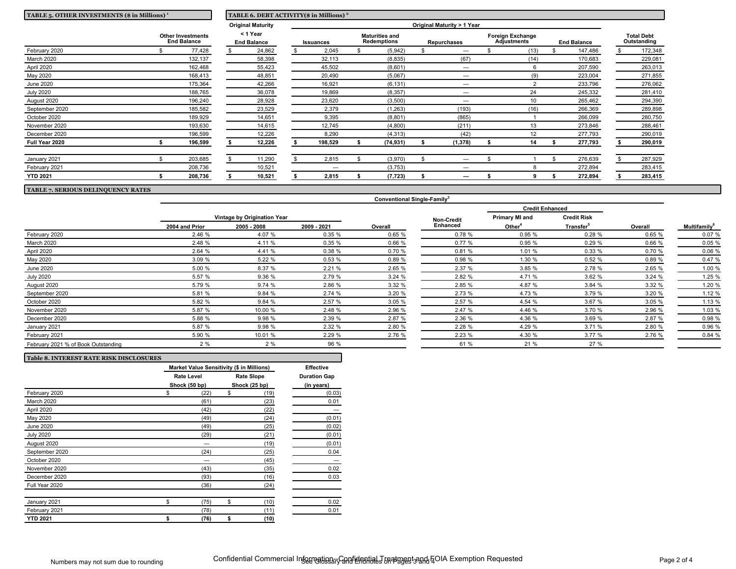| TABLE 5. OTHER INVESTMENTS (\$ in Millions) <sup>1</sup> |  |                                                | TABLE 6. DEBT ACTIVITY(\$ in Millions) <sup>2</sup> |                          |  |           |                                      |           |  |                            |  |                                        |  |                    |  |                                  |
|----------------------------------------------------------|--|------------------------------------------------|-----------------------------------------------------|--------------------------|--|-----------|--------------------------------------|-----------|--|----------------------------|--|----------------------------------------|--|--------------------|--|----------------------------------|
|                                                          |  |                                                |                                                     | <b>Original Maturity</b> |  |           |                                      |           |  | Original Maturity > 1 Year |  |                                        |  |                    |  |                                  |
|                                                          |  | <b>Other Investments</b><br><b>End Balance</b> | < 1 Year<br><b>End Balance</b>                      |                          |  | Issuances | <b>Maturities and</b><br>Redemptions |           |  | <b>Repurchases</b>         |  | <b>Foreign Exchange</b><br>Adjustments |  | <b>End Balance</b> |  | <b>Total Debt</b><br>Outstanding |
| February 2020                                            |  | 77,428                                         |                                                     | 24,862                   |  | 2,045     |                                      | (5,942)   |  |                            |  | (13)                                   |  | 147,486            |  | 172,348                          |
| March 2020                                               |  | 132,137                                        |                                                     | 58,398                   |  | 32,113    |                                      | (8, 835)  |  | (67)                       |  | (14)                                   |  | 170,683            |  | 229,081                          |
| April 2020                                               |  | 162,468                                        |                                                     | 55,423                   |  | 45,502    |                                      | (8,601)   |  | —                          |  |                                        |  | 207,590            |  | 263,013                          |
| May 2020                                                 |  | 168,413                                        |                                                     | 48,851                   |  | 20,490    |                                      | (5,067)   |  |                            |  | (9)                                    |  | 223,004            |  | 271,855                          |
| <b>June 2020</b>                                         |  | 175,364                                        |                                                     | 42,266                   |  | 16,921    |                                      | (6, 131)  |  |                            |  | $\mathcal{D}$                          |  | 233,796            |  | 276,062                          |
| <b>July 2020</b>                                         |  | 188,765                                        |                                                     | 36,078                   |  | 19,869    |                                      | (8, 357)  |  |                            |  | 24                                     |  | 245,332            |  | 281,410                          |
| August 2020                                              |  | 196,240                                        |                                                     | 28,928                   |  | 23,620    |                                      | (3,500)   |  |                            |  | 10                                     |  | 265,462            |  | 294,390                          |
| September 2020                                           |  | 185,582                                        |                                                     | 23,529                   |  | 2,379     |                                      | (1, 263)  |  | (193)                      |  | (16)                                   |  | 266,369            |  | 289,898                          |
| October 2020                                             |  | 189,929                                        |                                                     | 14,651                   |  | 9,395     |                                      | (8,801)   |  | (865)                      |  |                                        |  | 266,099            |  | 280,750                          |
| November 2020                                            |  | 193,630                                        |                                                     | 14,615                   |  | 12,745    |                                      | (4,800)   |  | (211)                      |  | 13                                     |  | 273,846            |  | 288,461                          |
| December 2020                                            |  | 196,599                                        |                                                     | 12,226                   |  | 8,290     |                                      | (4, 313)  |  | (42)                       |  | 12                                     |  | 277,793            |  | 290,019                          |
| Full Year 2020                                           |  | 196,599                                        |                                                     | 12,226                   |  | 198,529   |                                      | (74, 931) |  | (1, 378)                   |  | 14                                     |  | 277,793            |  | 290,019                          |
| January 2021                                             |  | 203,685                                        |                                                     | 11,290                   |  | 2,815     |                                      | (3,970)   |  |                            |  |                                        |  | 276,639            |  | 287,929                          |
| February 2021                                            |  | 208,736                                        |                                                     | 10,521                   |  | -         |                                      | (3,753)   |  |                            |  |                                        |  | 272,894            |  | 283,415                          |
| <b>YTD 2021</b>                                          |  | 208,736                                        |                                                     | 10,521                   |  | 2,815     |                                      | (7, 723)  |  |                            |  |                                        |  | 272,894            |  | 283,415                          |

**TABLE 7. SERIOUS DELINQUENCY RATES**

|                                     |                               |                             |             |         |                   | <b>Credit Enhanced</b> |                       |         |                                 |
|-------------------------------------|-------------------------------|-----------------------------|-------------|---------|-------------------|------------------------|-----------------------|---------|---------------------------------|
|                                     |                               | Vintage by Origination Year |             |         | <b>Non-Credit</b> | <b>Primary MI and</b>  | <b>Credit Risk</b>    |         |                                 |
|                                     | 2005 - 2008<br>2004 and Prior |                             | 2009 - 2021 | Overall | <b>Enhanced</b>   | Other <sup>4</sup>     | Transfer <sup>5</sup> | Overall | <b>Multifamily</b> <sup>6</sup> |
| February 2020                       | 2.46 %                        | 4.07 %                      | 0.35%       | 0.65 %  | 0.78%             | 0.95 %                 | 0.28%                 | 0.65 %  | 0.07 %                          |
| March 2020                          | 2.48 %                        | 4.11 %                      | 0.35%       | 0.66%   | 0.77%             | 0.95 %                 | 0.29%                 | 0.66 %  | 0.05%                           |
| April 2020                          | 2.64 %                        | 4.41 %                      | 0.38%       | 0.70 %  | 0.81%             | 1.01 %                 | 0.33%                 | 0.70 %  | 0.06 %                          |
| May 2020                            | 3.09 %                        | 5.22 %                      | 0.53%       | 0.89%   | 0.98 %            | 1.30 %                 | 0.52%                 | 0.89%   | 0.47%                           |
| June 2020                           | 5.00 %                        | 8.37 %                      | 2.21%       | 2.65 %  | 2.37 %            | 3.85 %                 | 2.78 %                | 2.65 %  | 1.00 %                          |
| <b>July 2020</b>                    | 5.57 %                        | 9.36 %                      | 2.79 %      | 3.24%   | 2.82 %            | 4.71 %                 | 3.62 %                | 3.24%   | 1.25 %                          |
| August 2020                         | 5.79 %                        | 9.74 %                      | 2.86 %      | 3.32%   | 2.85 %            | 4.87 %                 | 3.84%                 | 3.32 %  | 1.20 %                          |
| September 2020                      | 5.81 %                        | 9.84 %                      | 2.74 %      | 3.20 %  | 2.73 %            | 4.73 %                 | 3.79 %                | 3.20 %  | 1.12 %                          |
| October 2020                        | 5.82 %                        | 9.84 %                      | 2.57 %      | 3.05%   | 2.57 %            | 4.54 %                 | 3.67 %                | 3.05 %  | 1.13 %                          |
| November 2020                       | 5.87 %                        | 10.00 %                     | 2.48 %      | 2.96 %  | 2.47 %            | 4.46 %                 | 3.70 %                | 2.96 %  | 1.03 %                          |
| December 2020                       | 5.88 %                        | 9.98 %                      | 2.39 %      | 2.87 %  | 2.36 %            | 4.36 %                 | 3.69 %                | 2.87 %  | 0.98 %                          |
| January 2021                        | 5.87 %                        | 9.98 %                      | 2.32%       | 2.80 %  | 2.28 %            | 4.29 %                 | 3.71%                 | 2.80 %  | 0.96 %                          |
| February 2021                       | 5.90 %                        | 10.01 %                     | 2.29 %      | 2.76 %  | 2.23 %            | 4.30 %                 | 3.77%                 | 2.76 %  | 0.84 %                          |
| February 2021 % of Book Outstanding | 2%                            | 2%                          | 96 %        |         | 61 %              | 21 %                   | 27 %                  |         |                                 |

**Conventional Single-Family<sup>3</sup>**

| <b>Table 8. INTEREST RATE RISK DISCLOSURES</b> |                                                  |    |                   |                     |  |  |  |  |
|------------------------------------------------|--------------------------------------------------|----|-------------------|---------------------|--|--|--|--|
|                                                | <b>Market Value Sensitivity (\$ in Millions)</b> |    |                   |                     |  |  |  |  |
|                                                | <b>Rate Level</b>                                |    | <b>Rate Slope</b> | <b>Duration Gap</b> |  |  |  |  |
|                                                | Shock (50 bp)                                    |    | Shock (25 bp)     | (in years)          |  |  |  |  |
| February 2020                                  | \$<br>(22)                                       | \$ | (19)              | (0.03)              |  |  |  |  |
| March 2020                                     | (61)                                             |    | (23)              | 0.01                |  |  |  |  |
| April 2020                                     | (42)                                             |    | (22)              |                     |  |  |  |  |
| May 2020                                       | (49)                                             |    | (24)              | (0.01)              |  |  |  |  |
| <b>June 2020</b>                               | (49)                                             |    | (25)              | (0.02)              |  |  |  |  |
| <b>July 2020</b>                               | (29)                                             |    | (21)              | (0.01)              |  |  |  |  |
| August 2020                                    |                                                  |    | (19)              | (0.01)              |  |  |  |  |
| September 2020                                 | (24)                                             |    | (25)              | 0.04                |  |  |  |  |
| October 2020                                   |                                                  |    | (45)              |                     |  |  |  |  |
| November 2020                                  | (43)                                             |    | (35)              | 0.02                |  |  |  |  |
| December 2020                                  | (93)                                             |    | (16)              | 0.03                |  |  |  |  |
| Full Year 2020                                 | (36)                                             |    | (24)              |                     |  |  |  |  |
| January 2021                                   | \$<br>(75)                                       | \$ | (10)              | 0.02                |  |  |  |  |
| February 2021                                  | (78)                                             |    | (11)              | 0.01                |  |  |  |  |
| <b>YTD 2021</b>                                | \$<br>(76)                                       | \$ | (10)              |                     |  |  |  |  |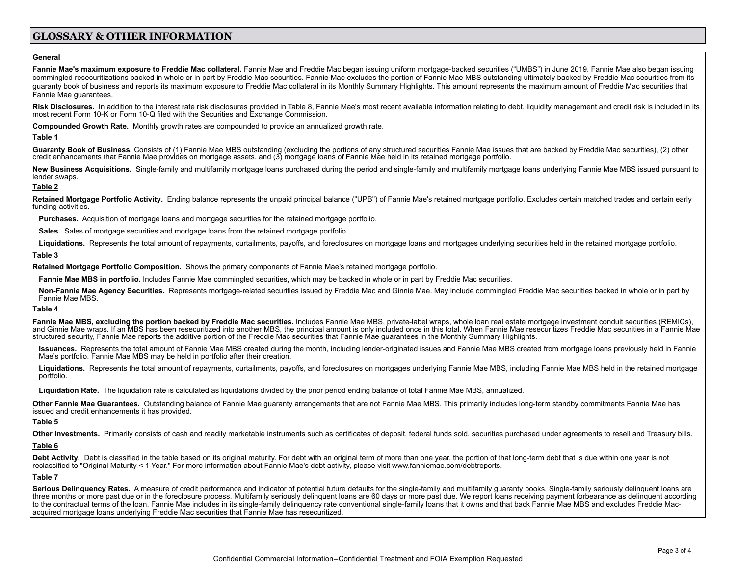# **GLOSSARY & OTHER INFORMATION**

## **General**

Fannie Mae's maximum exposure to Freddie Mac collateral. Fannie Mae and Freddie Mac began issuing uniform mortgage-backed securities ("UMBS") in June 2019. Fannie Mae also began issuing commingled resecuritizations backed in whole or in part by Freddie Mac securities. Fannie Mae excludes the portion of Fannie Mae MBS outstanding ultimately backed by Freddie Mac securities from its guaranty book of business and reports its maximum exposure to Freddie Mac collateral in its Monthly Summary Highlights. This amount represents the maximum amount of Freddie Mac securities that Fannie Mae guarantees.

Risk Disclosures. In addition to the interest rate risk disclosures provided in Table 8, Fannie Mae's most recent available information relating to debt, liquidity management and credit risk is included in its most recent Form 10-K or Form 10-Q filed with the Securities and Exchange Commission.

**Compounded Growth Rate.** Monthly growth rates are compounded to provide an annualized growth rate.

## **Table 1**

Guaranty Book of Business. Consists of (1) Fannie Mae MBS outstanding (excluding the portions of any structured securities Fannie Mae issues that are backed by Freddie Mac securities). (2) other credit enhancements that Fannie Mae provides on mortgage assets, and (3) mortgage loans of Fannie Mae held in its retained mortgage portfolio.

New Business Acquisitions. Single-family and multifamily mortgage loans purchased during the period and single-family and multifamily mortgage loans underlying Fannie Mae MBS issued pursuant to lender swaps.

## **Table 2**

Retained Mortgage Portfolio Activity. Ending balance represents the unpaid principal balance ("UPB") of Fannie Mae's retained mortgage portfolio. Excludes certain matched trades and certain early funding activities.

**Purchases.** Acquisition of mortgage loans and mortgage securities for the retained mortgage portfolio.

**Sales.** Sales of mortgage securities and mortgage loans from the retained mortgage portfolio.

Liquidations. Represents the total amount of repayments, curtailments, payoffs, and foreclosures on mortgage loans and mortgages underlying securities held in the retained mortgage portfolio.

#### **Table 3**

**Retained Mortgage Portfolio Composition.** Shows the primary components of Fannie Mae's retained mortgage portfolio.

**Fannie Mae MBS in portfolio.** Includes Fannie Mae commingled securities, which may be backed in whole or in part by Freddie Mac securities.

Non-Fannie Mae Agency Securities. Represents mortgage-related securities issued by Freddie Mac and Ginnie Mae. May include commingled Freddie Mac securities backed in whole or in part by Fannie Mae MBS.

#### **Table 4**

**Fannie Mae MBS, excluding the portion backed by Freddie Mac securities.** Includes Fannie Mae MBS, private-label wraps, whole loan real estate mortgage investment conduit securities (REMICs), and Ginnie Mae wraps. If an MBS has been resecuritized into another MBS, the principal amount is only included once in this total. When Fannie Mae resecuritizes Freddie Mac securities in a Fannie Mae structured security, Fannie Mae reports the additive portion of the Freddie Mac securities that Fannie Mae guarantees in the Monthly Summary Highlights.

Issuances. Represents the total amount of Fannie Mae MBS created during the month, including lender-originated issues and Fannie Mae MBS created from mortgage loans previously held in Fannie Mae's portfolio. Fannie Mae MBS may be held in portfolio after their creation.

Liquidations. Represents the total amount of repayments, curtailments, payoffs, and foreclosures on mortgages underlying Fannie Mae MBS, including Fannie Mae MBS held in the retained mortgage portfolio.

**Liquidation Rate.** The liquidation rate is calculated as liquidations divided by the prior period ending balance of total Fannie Mae MBS, annualized.

**Other Fannie Mae Guarantees.** Outstanding balance of Fannie Mae guaranty arrangements that are not Fannie Mae MBS. This primarily includes long-term standby commitments Fannie Mae has issued and credit enhancements it has provided.

#### **Table 5**

**Other Investments.** Primarily consists of cash and readily marketable instruments such as certificates of deposit, federal funds sold, securities purchased under agreements to resell and Treasury bills.

## **Table 6**

Debt Activity. Debt is classified in the table based on its original maturity. For debt with an original term of more than one year, the portion of that long-term debt that is due within one year is not reclassified to "Original Maturity < 1 Year." For more information about Fannie Mae's debt activity, please visit [www.](http://www.fanniemae.com/debtreports)fanniemae.com/debtreports.

#### **Table 7**

Serious Delinguency Rates. A measure of credit performance and indicator of potential future defaults for the single-family and multifamily quaranty books. Single-family seriously delinquent loans are three months or more past due or in the foreclosure process. Multifamily seriously delinquent loans are 60 days or more past due. We report loans receiving payment forbearance as delinquent according to the contractual terms of the loan. Fannie Mae includes in its single-family delinguency rate conventional single-family loans that it owns and that back Fannie Mae MBS and excludes Freddie Macacquired mortgage loans underlying Freddie Mac securities that Fannie Mae has resecuritized.